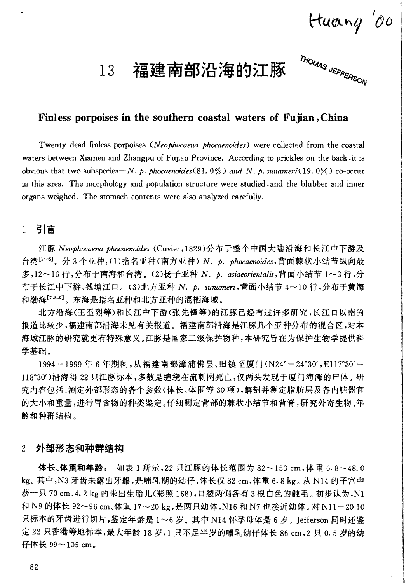Huang '00

### 福建南部沿海的江豚 13

THOMAS JEFFERSON

# Finless porpoises in the southern coastal waters of Fujian, China

Twenty dead finless porpoises (Neophocaena phocaenoides) were collected from the coastal waters between Xiamen and Zhangpu of Fujian Province. According to prickles on the back, it is obvious that two subspecies - N. p. phocaenoides (81, 0%) and N. p. sunameri(19, 0%) co-occur in this area. The morphology and population structure were studied, and the blubber and inner organs weighed. The stomach contents were also analyzed carefully.

# 1 引言

江豚 Neophocaena phocaenoides (Cuvier,1829)分布于整个中国大陆沿海和长江中下游及 台湾[1-6]。分3个亚种:(1)指名亚种(南方亚种) N. p. phocaenoides,背面棘状小结节纵向最 多,12~16行,分布于南海和台湾。(2)扬子亚种 N. p. asiaeorientalis,背面小结节 1~3行,分 布于长江中下游、钱塘江口。(3)北方亚种 N. p. sunameri,背面小结节 4~10 行,分布于黄海 和渤海[7,8,9]。东海是指名亚种和北方亚种的混栖海域。

北方沿海(王丕烈等)和长江中下游(张先锋等)的江豚已经有过许多研究,长江口以南的 报道比较少,福建南部沿海未见有关报道。福建南部沿海是江豚几个亚种分布的混合区,对本 海域江豚的研究就更有特殊意义。江豚是国家二级保护物种,本研究旨在为保护生物学提供科 学基础。

1994-1999年6年期间,从福建南部漳浦佛昙、旧镇至厦门(N24°-24°30', E117°30'-118°30')沿海得22只江豚标本,多数是缠绕在流刺网死亡,仅两头发现于厦门海滩的尸体。研 究内容包括:测定外部形态的各个参数(体长、体围等30项),解剖并测定脂肪层及各内脏器官 的大小和重量,进行胃含物的种类鉴定。仔细测定背部的棘状小结节和背脊,研究外寄生物、年 龄和种群结构。

#### 外部形态和种群结构  $2^{1}$

体长、体重和年龄: 如表 1 所示, 22 只江豚的体长范围为 82~153 cm, 体重 6.8~48.0 kg。其中,N3 牙齿未露出牙龈,是哺乳期的幼仔,体长仅 82 cm,体重 6.8 kg。从 N14 的子宫中 获一只 70 cm、4.2 kg 的未出生胎儿(彩照 168),口裂两侧各有 3 根白色的触毛。初步认为,N1 和 N9 的体长 92~96 cm、体重 17~20 kg,是两只幼体,N16 和 N7 也接近幼体。对 N11-20 10 只标本的牙齿进行切片,鉴定年龄是1~6岁。其中 N14 怀孕母体是 6 岁。Jefferson 同时还鉴 定 22 只香港等地标本,最大年龄 18 岁,1 只不足半岁的哺乳幼仔体长 86 cm,2 只 0.5 岁的幼 仔体长 99~105 cm。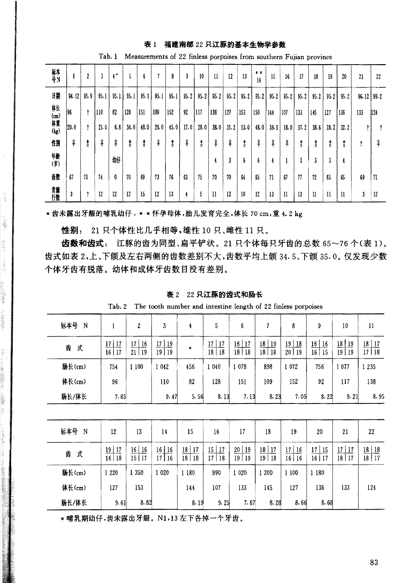#### 表1 福建南部 22 只江豚的基本生物学参数

| 标本<br>号N             |       | 2    | 3    | я<br>4 | 5    | 6    | n    | 8    | 9    | 10   | 11   | 12   | 13   | <br>14 | 15   | 16   | 17   | 18   | 19           | 20   | 21               | $22\,$ |
|----------------------|-------|------|------|--------|------|------|------|------|------|------|------|------|------|--------|------|------|------|------|--------------|------|------------------|--------|
| 開                    | 94.12 | 95.9 | 95.1 | 95.1   | 95.1 | 95.1 | 95.1 | 95.1 | 95.2 | 95.2 | 95.2 | 95.2 | 95.2 | 95.2   | 95.2 | 95.2 | 95.2 | 95.2 | 95.2         | 95.2 | $96.12$   $99.2$ |        |
| 体(m)重<br>(体)<br>(kg) | 196   | î    | 110  | 82     | 128  | 151  | 109  | 152  | 92   | 1117 | 138  | 127  | 153  | 150    | 144  | 107  | 133  | 145  | 127          | 136  | 133              | 124    |
|                      | 120.0 | î    | 21.0 | 6.8    | 34.0 | 48.0 | 26.0 | 45.0 | 17.0 | 28.0 | 38.0 | 31.2 | 53.0 | 48.0   | 39.3 | 18.0 | 37.2 | 38.6 | 28.2         | 32.2 | 7                | ?      |
| 性別                   | f     | t    | f    | 우      | ŧ    | t    | ₽    | Ъ    | ♀    | \$   | f    | f    | \$   | ¥      | f    | ₽    | t    | \$   | t            | \$   | i                | ♀      |
| 辅助                   |       |      |      | 魣      |      |      |      |      |      |      | 4    | 3    | 6    | 6      | ą    |      | 3    | 3    | 3            | 4    |                  |        |
| 齿数                   | 67    | 73   | 74   | 0      | 70   | 69   | 73   | 76   | 63   | 75   | 70   | 70   | 64   | 65     | 71   | 67   | 77   | 72   | 65           | 65   | 69               | -71    |
| 青草行数                 | 3     | ?    | 12   | 12     | 12   | 15   | 12   | 13   |      | 5    | 11   | 12   | 10   | 12     | 13   | 11   | 13   | 11   | $\mathbf{I}$ | 11   | 3                | 12     |

Tab. 1 Measurements of 22 finless porpoises from southern Fujian province

\* 齿未露出牙龈的哺乳幼仔. \* \* 怀孕母体,胎儿发育完全,体长 70 cm,重 4.2 kg

性别: 21 只个体性比几乎相等,雄性 10 只、雌性 11 只。

l,

 $\begin{array}{c} \alpha_1 \\ \alpha_2 \\ \alpha_3 \end{array}$ 

The secret is selling

**ARRAIGNANCES** 

**ANGELAND ANG ANG PANGANGAN ANG PANG-ANG PANG-ANG PANG-ANG PANG-ANG PANG-ANG PANG-Ang Pang-**

responsible to the

肠长/体长

齿数和齿式: 江豚的齿为同型、扁平铲状。21只个体每只牙齿的总数 65~76个(表1)。 齿式如表 2,上、下颌及左右两侧的齿数差别不大,齿数平均上颌 34.5、下颌 35.0。 仅发现少数 个体牙齿有脱落。幼体和成体牙齿数目没有差别。

表 2 22 只江豚的齿式和肠长

Tab. 2 The tooth number and intestine length of 22 finless porpoises

| 标本号 N  | 1                  | $\boldsymbol{2}$ | 3                | 4                  | 5                 | $6\phantom{.}6$ | $\overline{7}$ | 8                              | 9                | 10             | 11                              |
|--------|--------------------|------------------|------------------|--------------------|-------------------|-----------------|----------------|--------------------------------|------------------|----------------|---------------------------------|
| 齿<br>弐 | $17$   17<br>16 17 | 17 16<br>21 19   | 17   19<br>19 19 | $\pmb{*}$          | 17<br>17<br>18 18 | 16 17<br>18 18  | 18 19<br>18 18 | 19 18<br>20 19                 | $16$ 16<br>16 15 | 18 19<br>19 19 | $18$   17<br>$\overline{17 18}$ |
| 肠长(cm) | 754                | 1 100            | 1 042            | 456                | 1 040             | 1 0 7 8         | 898            | 1 072                          | 756              | 1077           | 1 235                           |
| 体长(cm) | 96                 |                  | 110              | 82                 | 128               | 151             | 109            | 152                            | 92               | 117            | 138                             |
| 肠长/体长  | 7.85               |                  | 9.47             | 5.56               | 8.13              | 7.13            | 8.23           | 7.05                           | 8.22             | 9.21           | 8.95                            |
|        |                    |                  |                  |                    |                   |                 |                |                                |                  |                |                                 |
| 标本号 N  | 12                 | 13               | 14               | 15                 | 16                | 17              | 18             | 19                             | 20               | 21             | 22                              |
| 式<br>齿 | $19$ 17<br>16 18   | 16 16<br>15 17   | 16 16<br>17 16   | $18$   17<br>18 18 | $15$ 17<br>17 18  | 20 19<br>19 19  | 18 17<br>19 18 | 17 <sub>1</sub><br>16<br>16 16 | 17 15<br>16 17   | 17 17<br>18 17 | $18$ 18<br>18 17                |
| 肠长(cm) | 1 2 2 0            | 1 350            | 1 0 2 0          | 1 180              | 990               | 1 0 2 0         | 1 200          | 1100                           | 1 180            |                |                                 |
| 体长(cm) | 127                | 153              |                  | 144                | 107               | 133             | 145            | 127                            | 136              | 133            | 124                             |
|        |                    |                  |                  |                    |                   |                 |                |                                |                  |                |                                 |

 $8.19$ 

9.25

 $7.67$ 

8.28

 $8.66$ 

 $8.68$ 

\* 哺乳期幼仔,齿未露出牙龈。N1,13 左下各掉一个牙齿。

8.82

 $9.61$ 

83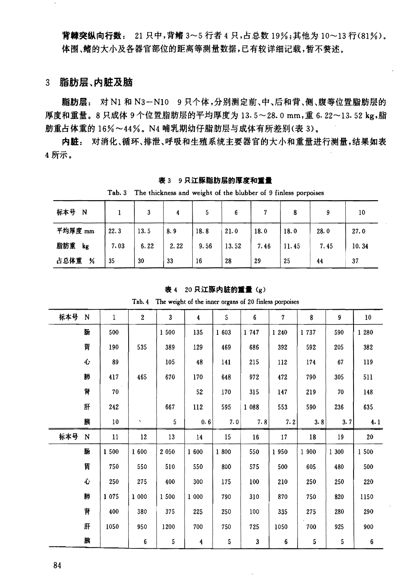背棘突纵向行数: 21 只中,背鳍 3~5 行者 4 只,占总数 19%;其他为 10~13 行(81%)。 体围、鳍的大小及各器官部位的距离等测量数据,已有较详细记载,暂不赘述。

## 3 脂肪层、内脏及脑

脂肪层: 对 N1 和 N3-N10 9 只个体,分别测定前、中、后和背、侧、腹等位置脂肪层的 厚度和重量。8只成体9个位置脂肪层的平均厚度为13.5~28.0mm,重6.22~13.52 kg,脂 肪重占体重的 16%~44%。N4 哺乳期幼仔脂肪层与成体有所差别(表 3)。

内脏: 对消化、循环、排泄、呼吸和生殖系统主要器官的大小和重量进行测量,结果如表 4 所示。

| The thickness and weight of the blubber of 9 finless porpoises<br>Tab.3 |      |      |      |      |       |      |       |      |       |  |  |  |
|-------------------------------------------------------------------------|------|------|------|------|-------|------|-------|------|-------|--|--|--|
| 标本号<br>N                                                                |      |      | 4    |      | 6     |      | 8     | 9    | 10    |  |  |  |
| 平均厚度 mm                                                                 | 22.3 | 13.5 | 8.9  | 18.8 | 21.0  | 18.0 | 18.0  | 28.0 | 27.0  |  |  |  |
| 脂肪重<br>kg                                                               | 7.03 | 6.22 | 2.22 | 9.56 | 13.52 | 7.46 | 11.45 | 7.45 | 10.34 |  |  |  |
| 占总体重<br>%                                                               | 35   | 30   | 33   | 16   | 28    | 29   | 25    | 44   | 37    |  |  |  |

### 表 3 9只江豚脂肪层的厚度和重量

|     | Tab. 4 The weight of the inner organs of 20 finless porpoises |         |                        |              |                      |       |       |                |        |       |                 |  |
|-----|---------------------------------------------------------------|---------|------------------------|--------------|----------------------|-------|-------|----------------|--------|-------|-----------------|--|
| 标本号 | N                                                             | 1       | $\overline{2}$         | $\mathbf{3}$ | $\ddot{\phantom{a}}$ | 5     | 6     | $\overline{7}$ | 8      | 9     | 10 <sup>°</sup> |  |
|     | 肠                                                             | 500     |                        | 1 500        | 135                  | 1 603 | 1 747 | 1 2 4 0        | 1737   | 590   | 1 280           |  |
|     | 胃                                                             | 190     | 535                    | 389          | 129                  | 469   | 686   | 392            | 592    | 205   | 382             |  |
|     | Ù                                                             | 89      |                        | 105          | 48                   | 141   | 215   | 112            | 174    | 67    | 119             |  |
|     | 肺                                                             | 417     | 465                    | 670          | 170                  | 648   | 972   | 472            | 790    | 305   | 511             |  |
|     | 肾                                                             | 70      |                        |              | 52                   | 170   | 315   | 147            | 219    | 70    | 148             |  |
|     | 肝                                                             | 242     |                        | 667          | 112                  | 595   | 1 088 | 553            | 590    | 236   | 635             |  |
|     | 胰                                                             | $10\,$  | $\boldsymbol{\lambda}$ | 5            | 0.6                  | 7.0   | 7.8   | 7.2            | 3.8    | 3.7   | 4.1             |  |
| 标本号 | N                                                             | $11\,$  | 12                     | 13           | 14                   | 15    | 16    | 17             | $18\,$ | 19    | ${\bf 20}$      |  |
|     | 肠                                                             | 1 500   | 1 600                  | 2 0 5 0      | 1 600                | 1800  | 550   | 1950           | 1 900  | 1 300 | 1500            |  |
|     | 胃                                                             | 750     | 550                    | 510          | 550                  | 800   | 575   | 500            | 605    | 480   | 500             |  |
|     | 心                                                             | 250     | 275                    | 400          | 300                  | 175   | 100   | 210            | 250    | 250   | 220             |  |
|     | 肺                                                             | 1 0 7 5 | 1 000                  | 1500         | 1 000                | 790   | 310   | 870            | 750    | 820   | 1150            |  |
|     | 肾                                                             | 400     | 380                    | 375          | 225                  | 250   | 100   | 335            | 275    | 280   | 290             |  |
|     | 肝                                                             | 1050    | 950                    | 1200         | 700                  | 750   | 725   | 1050           | 700    | 925   | 900             |  |
|     | 胰                                                             |         | 6                      | 5            | 4                    | 5     | 3     | 6              | 5      | 5     | 6               |  |

表 4 20 只江豚内脏的重量(g)

84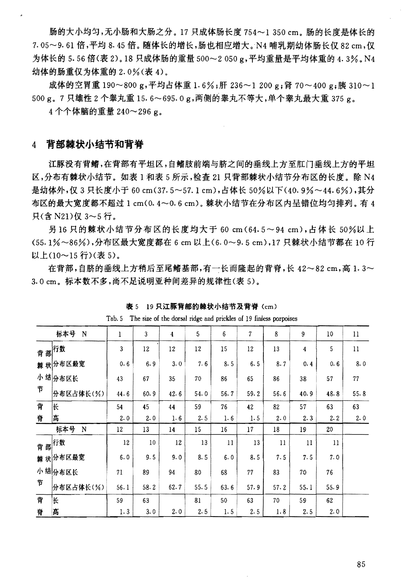肠的大小均匀,无小肠和大肠之分。17 只成体肠长度 754~1 350 cm。肠的长度是体长的 7.05~9.61 倍, 平均 8.45 倍。随体长的增长, 肠也相应增大。N4 哺乳期幼体肠长仅 82 cm, 仅 为体长的 5.56 倍(表 2)。18 只成体肠的重量 500~2 050 g,平均重量是平均体重的 4.3%。N4 幼体的肠重仅为体重的 2.0%(表 4)。

成体的空胃重 190~800 g,平均占体重 1.6%;肝 236~1 200 g;肾 70~400 g;胰 310~1 500 g。7只雄性2个睾丸重15.6~695.0 g,两侧的睾丸不等大,单个睾丸最大重375 g。

4个个体脑的重量 240~296 g。

#### 背部棘状小结节和背脊  $\overline{4}$

江豚没有背鳍,在背部有平坦区,自鳍肢前端与脐之间的垂线上方至肛门垂线上方的平坦 区,分布有棘状小结节。如表 1 和表 5 所示,检查 21 只背部棘状小结节分布区的长度。除 N4 是幼体外,仅3只长度小于60 cm(37.5~57.1 cm),占体长50%以下(40.9%~44.6%),其分 布区的最大宽度都不超过 1 cm(0.4~0.6 cm)。棘状小结节在分布区内呈错位均匀排列。有 4 只(含 N21)仅 3~5 行。

另16只的棘状小结节分布区的长度均大于 60 cm (64.5~94 cm),占体长 50%以上 (55.1%~86%),分布区最大宽度都在 6 cm 以上(6.0~9.5 cm),17 只棘状小结节都在 10 行 以上(10~15行)(表5)。

在背部,自脐的垂线上方稍后至尾鳍基部,有一长而隆起的背脊,长 42~82 cm,高 1.3~ 3.0 cm。标本数不多,尚不足说明亚种间差异的规律性(表5)。

|   | The size of the dorsal ridge and prickles of 19 finless porpoises<br>Tab. 5 |      |      |      |      |                |      |      |      |      |         |  |  |  |
|---|-----------------------------------------------------------------------------|------|------|------|------|----------------|------|------|------|------|---------|--|--|--|
|   | 标本号<br>$\mathbf N$                                                          | 1    | 3    | 4    | 5    | $6\phantom{1}$ | 7    | 8    | 9    | 10   | 11      |  |  |  |
|   | <sub>背 部</sub> 行数                                                           | 3    | 12   | 12   | 12   | 15             | 12   | 13   | 4    | 5    | $_{11}$ |  |  |  |
|   | 棘 状分布区最宽                                                                    | 0.6  | 6.9  | 3.0  | 7.6  | 8.5            | 6.5  | 8.7  | 0.4  | 0.6  | 8.0     |  |  |  |
|   | 小结分布区长                                                                      | 43   | 67   | 35   | 70   | 86             | 65   | 86   | 38   | 57   | 77      |  |  |  |
| 节 | 分布区占体长(%)                                                                   | 44.6 | 60.9 | 42.6 | 54.0 | 56.7           | 59.2 | 56.6 | 40.9 | 48.8 | 55.8    |  |  |  |
| 背 | lК                                                                          | 54   | 45   | 44   | 59   | 76             | 42   | 82   | 57   | 63   | 63      |  |  |  |
| 脊 | 高                                                                           | 2.0  | 2.0  | 1.6  | 2.5  | 1.6            | 1.5  | 2.0  | 2.3  | 2.2  | 2.0     |  |  |  |
|   | 标本号<br>N                                                                    | 12   | 13   | 14   | 15   | 16             | 17   | 18   | 19   | 20   |         |  |  |  |
|   | 背部 <sup>行数</sup>                                                            | 12   | 10   | 12   | 13   | 11             | 13   | 11   | 11   | 11   |         |  |  |  |
|   | 棘 状分布区最宽                                                                    | 6.0  | 9.5  | 9.0  | 8.5  | 6.0            | 8.5  | 7.5  | 7.5  | 7.0  |         |  |  |  |
|   | 小结分布区长                                                                      | 71   | 89   | 94   | 80   | 68             | 77   | 83   | 70   | 76   |         |  |  |  |
| 节 | 分布区占体长(%)                                                                   | 56.1 | 58.2 | 62.7 | 55.5 | 63.6           | 57.9 | 57.2 | 55.1 | 55.9 |         |  |  |  |
| 背 | K                                                                           | 59   | 63   |      | 81   | 50             | 63   | 70   | 59   | 62   |         |  |  |  |
| 脊 | 高                                                                           | 1.3  | 3.0  | 2.0  | 2.5  | 1.5            | 2.5  | 1.8  | 2.5  | 2.0  |         |  |  |  |

表 5 19 只江豚背部的棘状小结节及背脊(cm)

85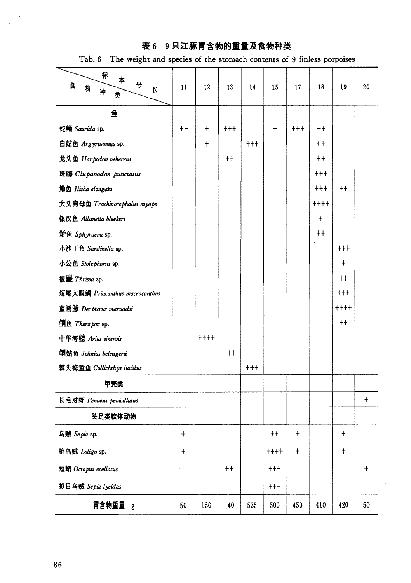# 表 6 9只江豚胃含物的重量及食物种类

Tab. 6 The weight and species of the stomach contents of 9 finless porpoises

| 标<br>本<br>묙<br>食<br>物<br>N<br>种<br>类 | 11         | 12         | 13                     | 14   | 15         | 17         | 18          | 19         | 20         |
|--------------------------------------|------------|------------|------------------------|------|------------|------------|-------------|------------|------------|
| 鱼                                    |            |            |                        |      |            |            |             |            |            |
| 蛇鲻 Saurida sp.                       | $++$       | $\ddagger$ | $^{\dagger + \dagger}$ |      | $\ddagger$ | $++$       | $++$        |            |            |
| 白姑鱼 Argyrosomus sp.                  |            | $\ddagger$ |                        | $++$ |            |            | $++$        |            |            |
| 龙头鱼 Harpodon nehereus                |            |            | $++$                   |      |            |            | $++$        |            |            |
| 斑鰶 Clupanodon punctatus              |            |            |                        |      |            |            | $^{+++}$    |            |            |
| 鳓鱼 Ilisha elongata                   |            |            |                        |      |            |            | $++$        | $++$       |            |
| 大头狗母鱼 Trachinocephalus myops         |            |            |                        |      |            |            | $+ + + +$   |            |            |
| 银汉鱼 Allanetta bleekeri               |            |            |                        |      |            |            | $\ddagger$  |            |            |
| 魣鱼 Sphyraena sp.                     |            |            |                        |      |            |            | $^{\rm ++}$ |            |            |
| 小沙丁鱼 Sardinella sp.                  |            |            |                        |      |            |            |             | $+ + +$    |            |
| 小公鱼 Stolephorus sp.                  |            |            |                        |      |            |            |             | $\ddagger$ |            |
| 梭鳀 Thrissa sp.                       |            |            |                        |      |            |            |             | $++$       |            |
| 短尾大眼鲷 Priacanthus macracanthus       |            |            |                        |      |            |            |             | $++$       |            |
| 蓝圆鲹 Dec pterus maruadsi              |            |            |                        |      |            |            |             | $++++$     |            |
| <b>鲍鱼 Therapon sp.</b>               |            |            |                        |      |            |            |             | $++$       |            |
| 中华海鲶 Arius sinensis                  |            | $+ + + +$  |                        |      |            |            |             |            |            |
| 倒姑鱼 Johnius belengerii               |            |            | $++$                   |      |            |            |             |            |            |
| 棘头梅童鱼 Collichthys lucidus            |            |            |                        | $++$ |            |            |             |            |            |
| 甲壳类                                  |            |            |                        |      |            |            |             |            |            |
| 长毛对虾 Penaeus penicillatus            |            |            |                        |      |            |            |             |            | $\ddagger$ |
| 头足类软体动物                              |            |            |                        |      |            |            |             |            |            |
| 乌贼 Sepia sp.                         | $\ddagger$ |            |                        |      | $++$       | $\ddagger$ |             | $\ddagger$ |            |
| 枪乌贼 <i>Loligo</i> sp.                | $\ddagger$ |            |                        |      | $+++$      | $\ddagger$ |             | $\ddagger$ |            |
| 短蛸 Octopus ocellatus                 |            |            | $++$                   |      | $+++$      |            |             |            | $\ddagger$ |
| 拟目乌贼 Sepia lycidas                   |            |            |                        |      | $+ + +$    |            |             |            |            |
| 胃含物重量 g                              | 50         | 150        | 140                    | 535  | 500        | 450        | 410         | 420        | 50         |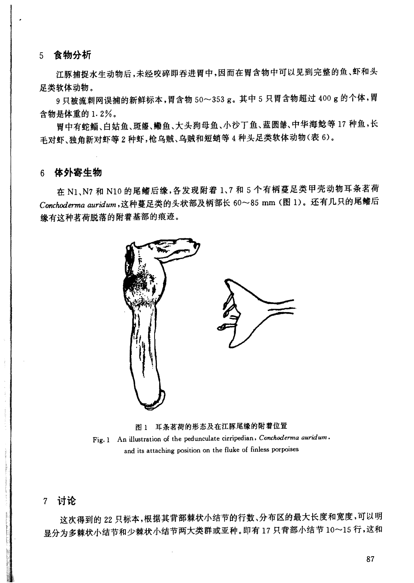5 食物分析

江豚捕捉水生动物后,未经咬碎即吞进胃中,因而在胃含物中可以见到完整的鱼、虾和头 足类软体动物。

9只被流刺网误捕的新鲜标本,胃含物 50~353 g。其中 5 只胃含物超过 400 g 的个体,胃 含物是体重的 1.2%。

胃中有蛇鲻、白姑鱼、斑鰶、鳓鱼、大头狗母鱼、小沙丁鱼、蓝圆鲹、中华海鲶等17种鱼,长 毛对虾、独角新对虾等2种虾,枪乌贼、乌贼和短蛸等4种头足类软体动物(表6)。

## 6 体外寄生物

在 N1、N7 和 N10 的尾鳍后缘, 各发现附着 1、7 和 5 个有柄蔓足类甲壳动物耳条茗荷 Conchoderma auridum,这种蔓足类的头状部及柄部长 60~85 mm (图 1)。还有几只的尾鳍后 缘有这种茗荷脱落的附着基部的痕迹。



图 1 耳条茗荷的形态及在江豚尾缘的附着位置 Fig. 1 An illustration of the pedunculate cirripedian, Conchoderma auridum, and its attaching position on the fluke of finless porpoises

## 7 讨论

这次得到的 22 只标本,根据其背部棘状小结节的行数、分布区的最大长度和宽度,可以明 显分为多棘状小结节和少棘状小结节两大类群或亚种。即有17只背部小结节10~15行,这和